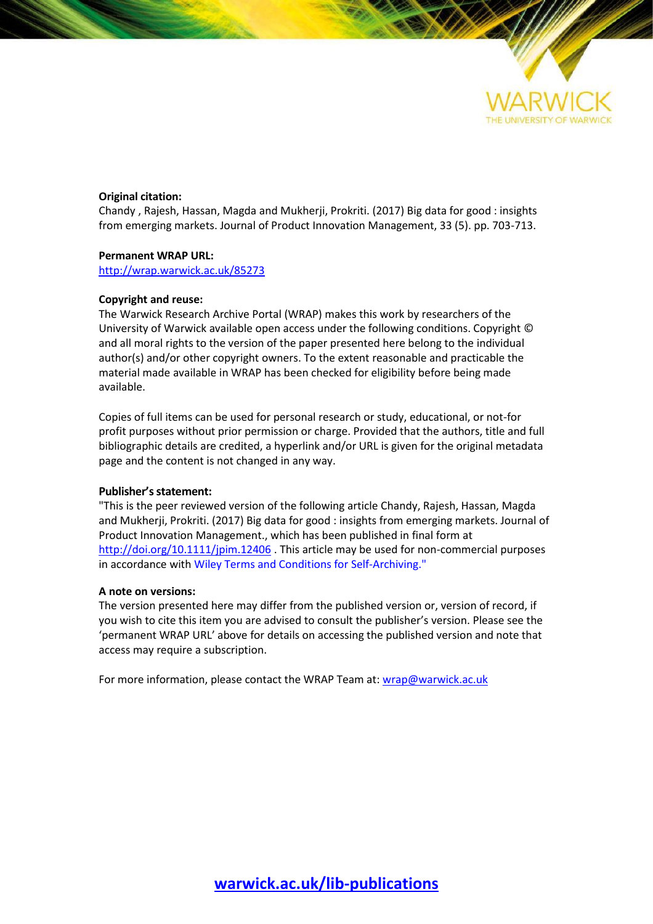

### **Original citation:**

Chandy , Rajesh, Hassan, Magda and Mukherji, Prokriti. (2017) Big data for good : insights from emerging markets. Journal of Product Innovation Management, 33 (5). pp. 703-713.

#### **Permanent WRAP URL:**

<http://wrap.warwick.ac.uk/85273>

#### **Copyright and reuse:**

The Warwick Research Archive Portal (WRAP) makes this work by researchers of the University of Warwick available open access under the following conditions. Copyright © and all moral rights to the version of the paper presented here belong to the individual author(s) and/or other copyright owners. To the extent reasonable and practicable the material made available in WRAP has been checked for eligibility before being made available.

Copies of full items can be used for personal research or study, educational, or not-for profit purposes without prior permission or charge. Provided that the authors, title and full bibliographic details are credited, a hyperlink and/or URL is given for the original metadata page and the content is not changed in any way.

## **Publisher's statement:**

"This is the peer reviewed version of the following article Chandy, Rajesh, Hassan, Magda and Mukherji, Prokriti. (2017) Big data for good : insights from emerging markets. Journal of Product Innovation Management., which has been published in final form at <http://doi.org/10.1111/jpim.12406> . This article may be used for non-commercial purposes in accordance with Wiley Terms and Conditions for Self-Archiving."

#### **A note on versions:**

The version presented here may differ from the published version or, version of record, if you wish to cite this item you are advised to consult the publisher's version. Please see the 'permanent WRAP URL' above for details on accessing the published version and note that access may require a subscription.

For more information, please contact the WRAP Team at: [wrap@warwick.ac.uk](mailto:wrap@warwick.ac.uk)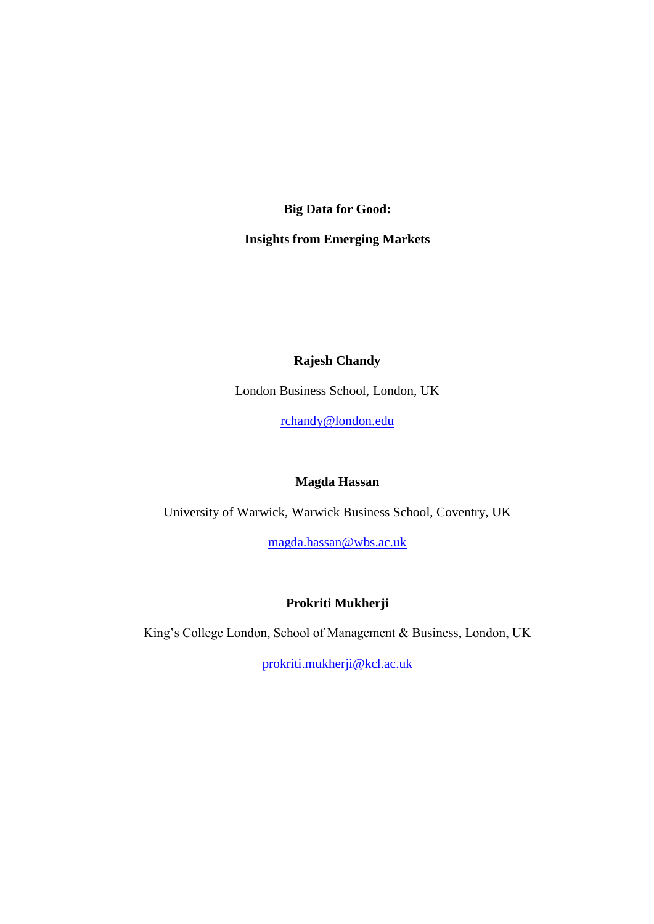**Big Data for Good:**

**Insights from Emerging Markets**

# **Rajesh Chandy**

London Business School, London, UK

[rchandy@london.edu](mailto:rchandy@london.edu)

# **Magda Hassan**

University of Warwick, Warwick Business School, Coventry, UK

[magda.hassan@wbs.ac.uk](mailto:magda.hassan@wbs.ac.uk)

# **Prokriti Mukherji**

King's College London, School of Management & Business, London, UK

[prokriti.mukherji@kcl.ac.uk](mailto:prokriti.mukherji@kcl.ac.uk)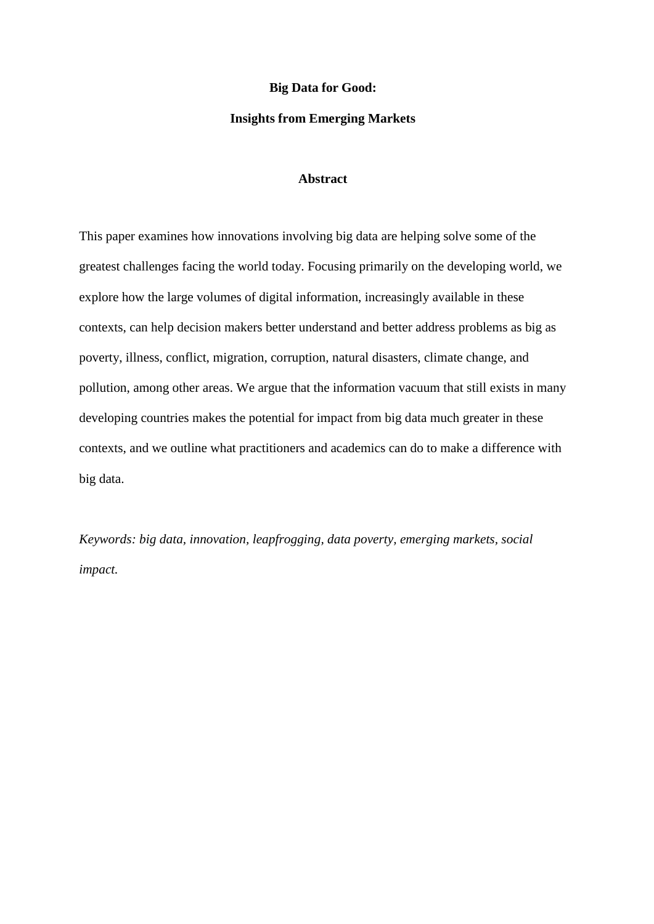### **Big Data for Good:**

## **Insights from Emerging Markets**

# **Abstract**

This paper examines how innovations involving big data are helping solve some of the greatest challenges facing the world today. Focusing primarily on the developing world, we explore how the large volumes of digital information, increasingly available in these contexts, can help decision makers better understand and better address problems as big as poverty, illness, conflict, migration, corruption, natural disasters, climate change, and pollution, among other areas. We argue that the information vacuum that still exists in many developing countries makes the potential for impact from big data much greater in these contexts, and we outline what practitioners and academics can do to make a difference with big data.

*Keywords: big data, innovation, leapfrogging, data poverty, emerging markets, social impact.*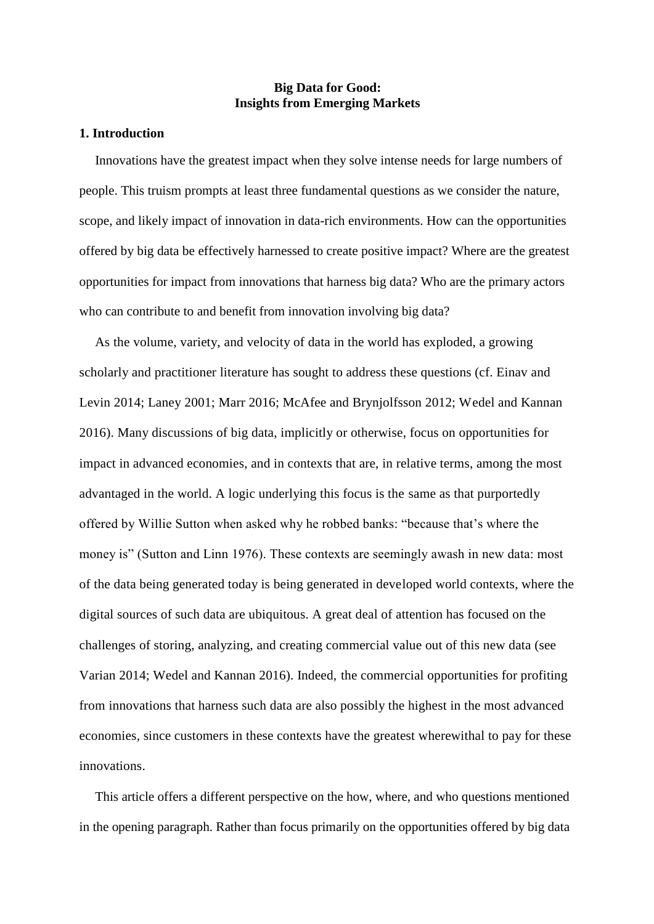# **Big Data for Good: Insights from Emerging Markets**

## **1. Introduction**

Innovations have the greatest impact when they solve intense needs for large numbers of people. This truism prompts at least three fundamental questions as we consider the nature, scope, and likely impact of innovation in data-rich environments. How can the opportunities offered by big data be effectively harnessed to create positive impact? Where are the greatest opportunities for impact from innovations that harness big data? Who are the primary actors who can contribute to and benefit from innovation involving big data?

As the volume, variety, and velocity of data in the world has exploded, a growing scholarly and practitioner literature has sought to address these questions (cf. Einav and Levin 2014; Laney 2001; Marr 2016; McAfee and Brynjolfsson 2012; Wedel and Kannan 2016). Many discussions of big data, implicitly or otherwise, focus on opportunities for impact in advanced economies, and in contexts that are, in relative terms, among the most advantaged in the world. A logic underlying this focus is the same as that purportedly offered by Willie Sutton when asked why he robbed banks: "because that's where the money is" (Sutton and Linn 1976). These contexts are seemingly awash in new data: most of the data being generated today is being generated in developed world contexts, where the digital sources of such data are ubiquitous. A great deal of attention has focused on the challenges of storing, analyzing, and creating commercial value out of this new data (see Varian 2014; Wedel and Kannan 2016). Indeed, the commercial opportunities for profiting from innovations that harness such data are also possibly the highest in the most advanced economies, since customers in these contexts have the greatest wherewithal to pay for these innovations.

This article offers a different perspective on the how, where, and who questions mentioned in the opening paragraph. Rather than focus primarily on the opportunities offered by big data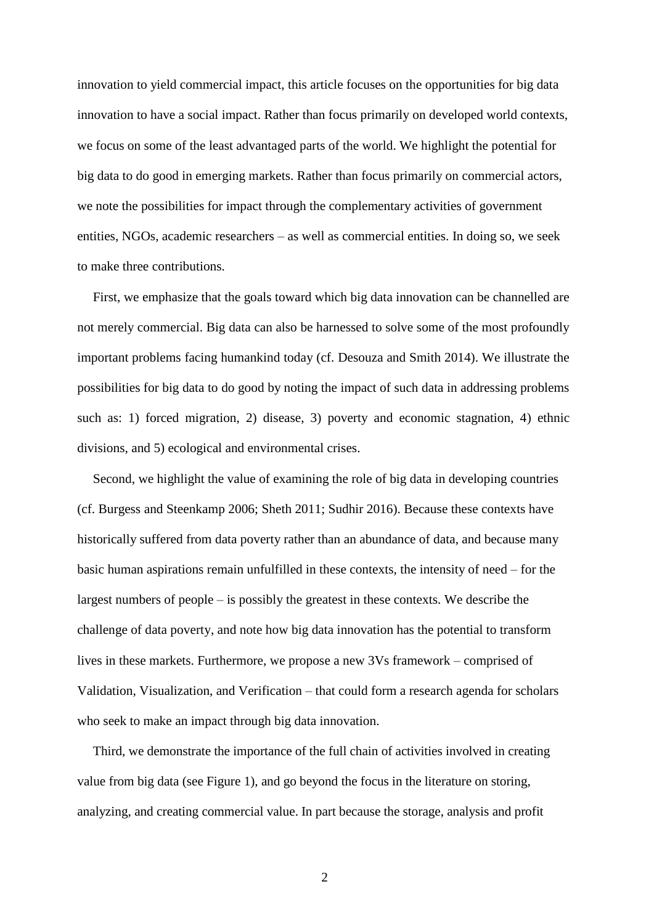innovation to yield commercial impact, this article focuses on the opportunities for big data innovation to have a social impact. Rather than focus primarily on developed world contexts, we focus on some of the least advantaged parts of the world. We highlight the potential for big data to do good in emerging markets. Rather than focus primarily on commercial actors, we note the possibilities for impact through the complementary activities of government entities, NGOs, academic researchers – as well as commercial entities. In doing so, we seek to make three contributions.

First, we emphasize that the goals toward which big data innovation can be channelled are not merely commercial. Big data can also be harnessed to solve some of the most profoundly important problems facing humankind today (cf. Desouza and Smith 2014). We illustrate the possibilities for big data to do good by noting the impact of such data in addressing problems such as: 1) forced migration, 2) disease, 3) poverty and economic stagnation, 4) ethnic divisions, and 5) ecological and environmental crises.

Second, we highlight the value of examining the role of big data in developing countries (cf. Burgess and Steenkamp 2006; Sheth 2011; Sudhir 2016). Because these contexts have historically suffered from data poverty rather than an abundance of data, and because many basic human aspirations remain unfulfilled in these contexts, the intensity of need – for the largest numbers of people – is possibly the greatest in these contexts. We describe the challenge of data poverty, and note how big data innovation has the potential to transform lives in these markets. Furthermore, we propose a new 3Vs framework – comprised of Validation, Visualization, and Verification – that could form a research agenda for scholars who seek to make an impact through big data innovation.

Third, we demonstrate the importance of the full chain of activities involved in creating value from big data (see Figure 1), and go beyond the focus in the literature on storing, analyzing, and creating commercial value. In part because the storage, analysis and profit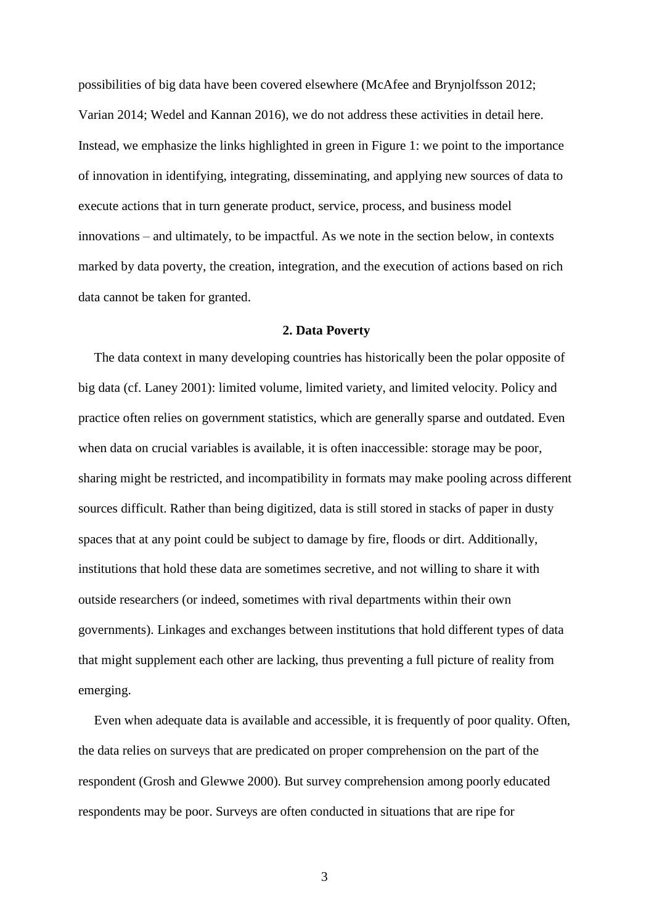possibilities of big data have been covered elsewhere (McAfee and Brynjolfsson 2012; Varian 2014; Wedel and Kannan 2016), we do not address these activities in detail here. Instead, we emphasize the links highlighted in green in Figure 1: we point to the importance of innovation in identifying, integrating, disseminating, and applying new sources of data to execute actions that in turn generate product, service, process, and business model innovations – and ultimately, to be impactful. As we note in the section below, in contexts marked by data poverty, the creation, integration, and the execution of actions based on rich data cannot be taken for granted.

# **2. Data Poverty**

The data context in many developing countries has historically been the polar opposite of big data (cf. Laney 2001): limited volume, limited variety, and limited velocity. Policy and practice often relies on government statistics, which are generally sparse and outdated. Even when data on crucial variables is available, it is often inaccessible: storage may be poor, sharing might be restricted, and incompatibility in formats may make pooling across different sources difficult. Rather than being digitized, data is still stored in stacks of paper in dusty spaces that at any point could be subject to damage by fire, floods or dirt. Additionally, institutions that hold these data are sometimes secretive, and not willing to share it with outside researchers (or indeed, sometimes with rival departments within their own governments). Linkages and exchanges between institutions that hold different types of data that might supplement each other are lacking, thus preventing a full picture of reality from emerging.

Even when adequate data is available and accessible, it is frequently of poor quality. Often, the data relies on surveys that are predicated on proper comprehension on the part of the respondent (Grosh and Glewwe 2000). But survey comprehension among poorly educated respondents may be poor. Surveys are often conducted in situations that are ripe for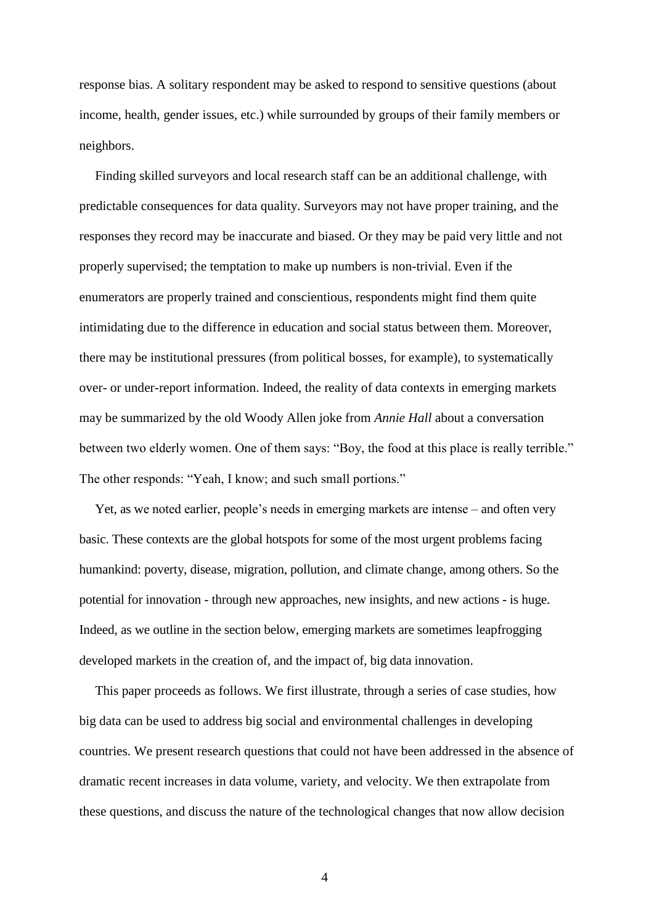response bias. A solitary respondent may be asked to respond to sensitive questions (about income, health, gender issues, etc.) while surrounded by groups of their family members or neighbors.

Finding skilled surveyors and local research staff can be an additional challenge, with predictable consequences for data quality. Surveyors may not have proper training, and the responses they record may be inaccurate and biased. Or they may be paid very little and not properly supervised; the temptation to make up numbers is non-trivial. Even if the enumerators are properly trained and conscientious, respondents might find them quite intimidating due to the difference in education and social status between them. Moreover, there may be institutional pressures (from political bosses, for example), to systematically over- or under-report information. Indeed, the reality of data contexts in emerging markets may be summarized by the old Woody Allen joke from *Annie Hall* about a conversation between two elderly women. One of them says: "Boy, the food at this place is really terrible." The other responds: "Yeah, I know; and such small portions."

Yet, as we noted earlier, people's needs in emerging markets are intense – and often very basic. These contexts are the global hotspots for some of the most urgent problems facing humankind: poverty, disease, migration, pollution, and climate change, among others. So the potential for innovation - through new approaches, new insights, and new actions - is huge. Indeed, as we outline in the section below, emerging markets are sometimes leapfrogging developed markets in the creation of, and the impact of, big data innovation.

This paper proceeds as follows. We first illustrate, through a series of case studies, how big data can be used to address big social and environmental challenges in developing countries. We present research questions that could not have been addressed in the absence of dramatic recent increases in data volume, variety, and velocity. We then extrapolate from these questions, and discuss the nature of the technological changes that now allow decision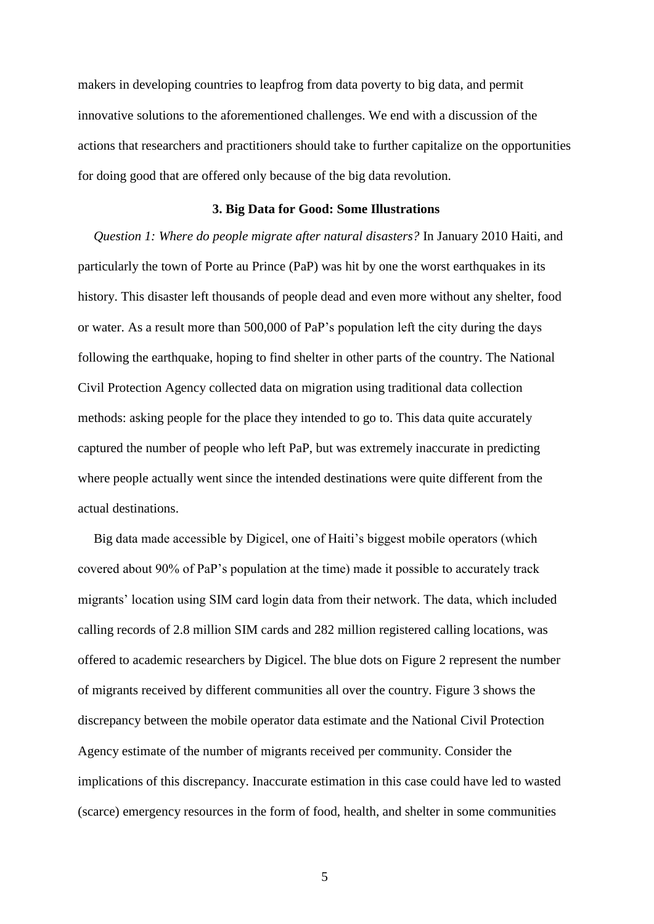makers in developing countries to leapfrog from data poverty to big data, and permit innovative solutions to the aforementioned challenges. We end with a discussion of the actions that researchers and practitioners should take to further capitalize on the opportunities for doing good that are offered only because of the big data revolution.

## **3. Big Data for Good: Some Illustrations**

*Question 1: Where do people migrate after natural disasters?* In January 2010 Haiti, and particularly the town of Porte au Prince (PaP) was hit by one the worst earthquakes in its history. This disaster left thousands of people dead and even more without any shelter, food or water. As a result more than 500,000 of PaP's population left the city during the days following the earthquake, hoping to find shelter in other parts of the country. The National Civil Protection Agency collected data on migration using traditional data collection methods: asking people for the place they intended to go to. This data quite accurately captured the number of people who left PaP, but was extremely inaccurate in predicting where people actually went since the intended destinations were quite different from the actual destinations.

Big data made accessible by Digicel, one of Haiti's biggest mobile operators (which covered about 90% of PaP's population at the time) made it possible to accurately track migrants' location using SIM card login data from their network. The data, which included calling records of 2.8 million SIM cards and 282 million registered calling locations, was offered to academic researchers by Digicel. The blue dots on Figure 2 represent the number of migrants received by different communities all over the country. Figure 3 shows the discrepancy between the mobile operator data estimate and the National Civil Protection Agency estimate of the number of migrants received per community. Consider the implications of this discrepancy. Inaccurate estimation in this case could have led to wasted (scarce) emergency resources in the form of food, health, and shelter in some communities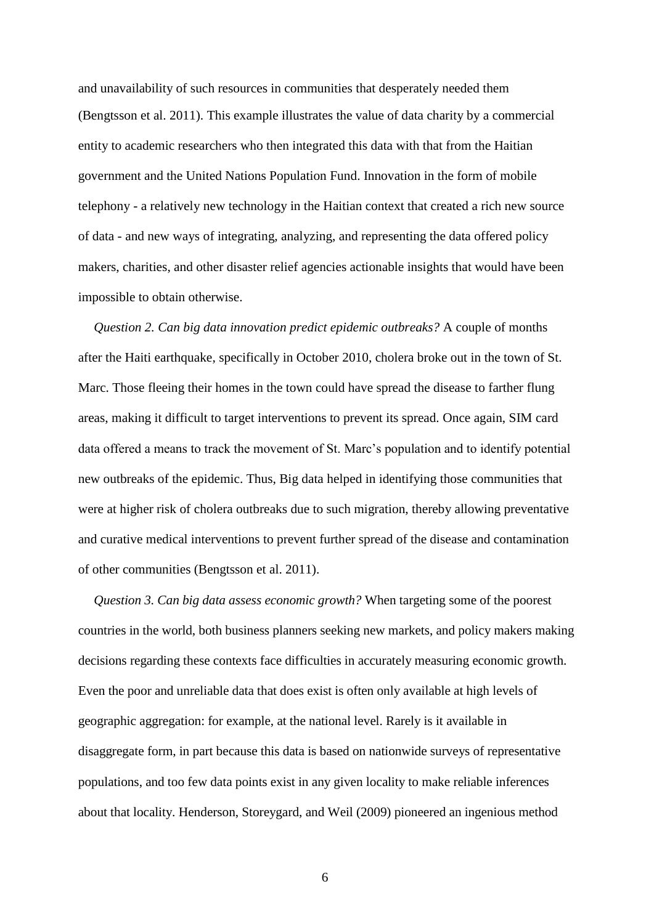and unavailability of such resources in communities that desperately needed them (Bengtsson et al. 2011). This example illustrates the value of data charity by a commercial entity to academic researchers who then integrated this data with that from the Haitian government and the United Nations Population Fund. Innovation in the form of mobile telephony - a relatively new technology in the Haitian context that created a rich new source of data - and new ways of integrating, analyzing, and representing the data offered policy makers, charities, and other disaster relief agencies actionable insights that would have been impossible to obtain otherwise.

*Question 2. Can big data innovation predict epidemic outbreaks?* A couple of months after the Haiti earthquake, specifically in October 2010, cholera broke out in the town of St. Marc. Those fleeing their homes in the town could have spread the disease to farther flung areas, making it difficult to target interventions to prevent its spread. Once again, SIM card data offered a means to track the movement of St. Marc's population and to identify potential new outbreaks of the epidemic. Thus, Big data helped in identifying those communities that were at higher risk of cholera outbreaks due to such migration, thereby allowing preventative and curative medical interventions to prevent further spread of the disease and contamination of other communities (Bengtsson et al. 2011).

*Question 3. Can big data assess economic growth?* When targeting some of the poorest countries in the world, both business planners seeking new markets, and policy makers making decisions regarding these contexts face difficulties in accurately measuring economic growth. Even the poor and unreliable data that does exist is often only available at high levels of geographic aggregation: for example, at the national level. Rarely is it available in disaggregate form, in part because this data is based on nationwide surveys of representative populations, and too few data points exist in any given locality to make reliable inferences about that locality. Henderson, Storeygard, and Weil (2009) pioneered an ingenious method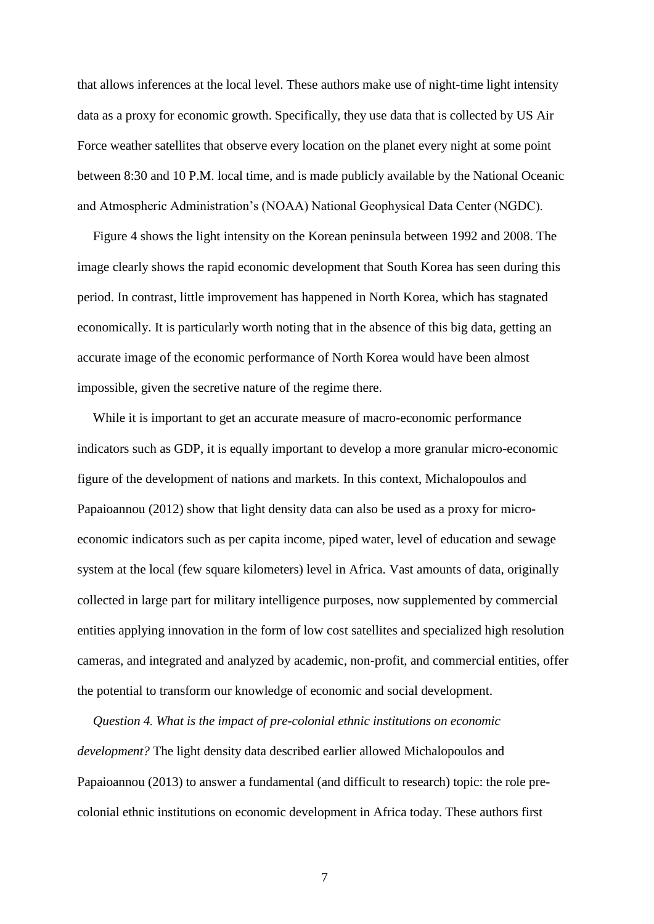that allows inferences at the local level. These authors make use of night-time light intensity data as a proxy for economic growth. Specifically, they use data that is collected by US Air Force weather satellites that observe every location on the planet every night at some point between 8:30 and 10 P.M. local time, and is made publicly available by the National Oceanic and Atmospheric Administration's (NOAA) National Geophysical Data Center (NGDC).

Figure 4 shows the light intensity on the Korean peninsula between 1992 and 2008. The image clearly shows the rapid economic development that South Korea has seen during this period. In contrast, little improvement has happened in North Korea, which has stagnated economically. It is particularly worth noting that in the absence of this big data, getting an accurate image of the economic performance of North Korea would have been almost impossible, given the secretive nature of the regime there.

While it is important to get an accurate measure of macro-economic performance indicators such as GDP, it is equally important to develop a more granular micro-economic figure of the development of nations and markets. In this context, Michalopoulos and Papaioannou (2012) show that light density data can also be used as a proxy for microeconomic indicators such as per capita income, piped water, level of education and sewage system at the local (few square kilometers) level in Africa. Vast amounts of data, originally collected in large part for military intelligence purposes, now supplemented by commercial entities applying innovation in the form of low cost satellites and specialized high resolution cameras, and integrated and analyzed by academic, non-profit, and commercial entities, offer the potential to transform our knowledge of economic and social development.

*Question 4. What is the impact of pre-colonial ethnic institutions on economic development?* The light density data described earlier allowed Michalopoulos and Papaioannou (2013) to answer a fundamental (and difficult to research) topic: the role precolonial ethnic institutions on economic development in Africa today. These authors first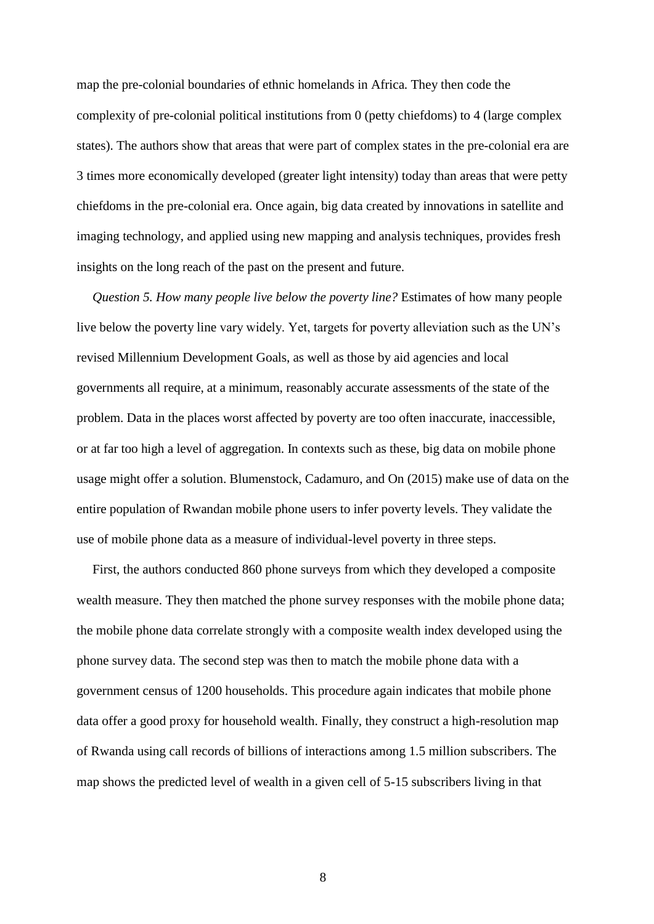map the pre-colonial boundaries of ethnic homelands in Africa. They then code the complexity of pre-colonial political institutions from 0 (petty chiefdoms) to 4 (large complex states). The authors show that areas that were part of complex states in the pre-colonial era are 3 times more economically developed (greater light intensity) today than areas that were petty chiefdoms in the pre-colonial era. Once again, big data created by innovations in satellite and imaging technology, and applied using new mapping and analysis techniques, provides fresh insights on the long reach of the past on the present and future.

*Question 5. How many people live below the poverty line?* Estimates of how many people live below the poverty line vary widely. Yet, targets for poverty alleviation such as the UN's revised Millennium Development Goals, as well as those by aid agencies and local governments all require, at a minimum, reasonably accurate assessments of the state of the problem. Data in the places worst affected by poverty are too often inaccurate, inaccessible, or at far too high a level of aggregation. In contexts such as these, big data on mobile phone usage might offer a solution. Blumenstock, Cadamuro, and On (2015) make use of data on the entire population of Rwandan mobile phone users to infer poverty levels. They validate the use of mobile phone data as a measure of individual-level poverty in three steps.

First, the authors conducted 860 phone surveys from which they developed a composite wealth measure. They then matched the phone survey responses with the mobile phone data; the mobile phone data correlate strongly with a composite wealth index developed using the phone survey data. The second step was then to match the mobile phone data with a government census of 1200 households. This procedure again indicates that mobile phone data offer a good proxy for household wealth. Finally, they construct a high-resolution map of Rwanda using call records of billions of interactions among 1.5 million subscribers. The map shows the predicted level of wealth in a given cell of 5-15 subscribers living in that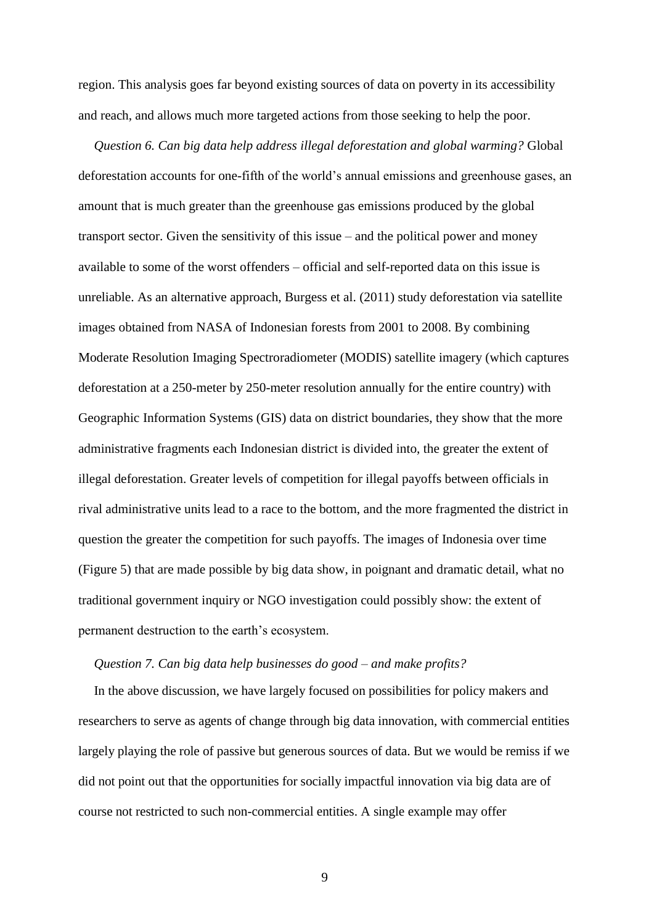region. This analysis goes far beyond existing sources of data on poverty in its accessibility and reach, and allows much more targeted actions from those seeking to help the poor.

*Question 6. Can big data help address illegal deforestation and global warming?* Global deforestation accounts for one-fifth of the world's annual emissions and greenhouse gases, an amount that is much greater than the greenhouse gas emissions produced by the global transport sector. Given the sensitivity of this issue – and the political power and money available to some of the worst offenders – official and self-reported data on this issue is unreliable. As an alternative approach, Burgess et al. (2011) study deforestation via satellite images obtained from NASA of Indonesian forests from 2001 to 2008. By combining Moderate Resolution Imaging Spectroradiometer (MODIS) satellite imagery (which captures deforestation at a 250-meter by 250-meter resolution annually for the entire country) with Geographic Information Systems (GIS) data on district boundaries, they show that the more administrative fragments each Indonesian district is divided into, the greater the extent of illegal deforestation. Greater levels of competition for illegal payoffs between officials in rival administrative units lead to a race to the bottom, and the more fragmented the district in question the greater the competition for such payoffs. The images of Indonesia over time (Figure 5) that are made possible by big data show, in poignant and dramatic detail, what no traditional government inquiry or NGO investigation could possibly show: the extent of permanent destruction to the earth's ecosystem.

## *Question 7. Can big data help businesses do good – and make profits?*

In the above discussion, we have largely focused on possibilities for policy makers and researchers to serve as agents of change through big data innovation, with commercial entities largely playing the role of passive but generous sources of data. But we would be remiss if we did not point out that the opportunities for socially impactful innovation via big data are of course not restricted to such non-commercial entities. A single example may offer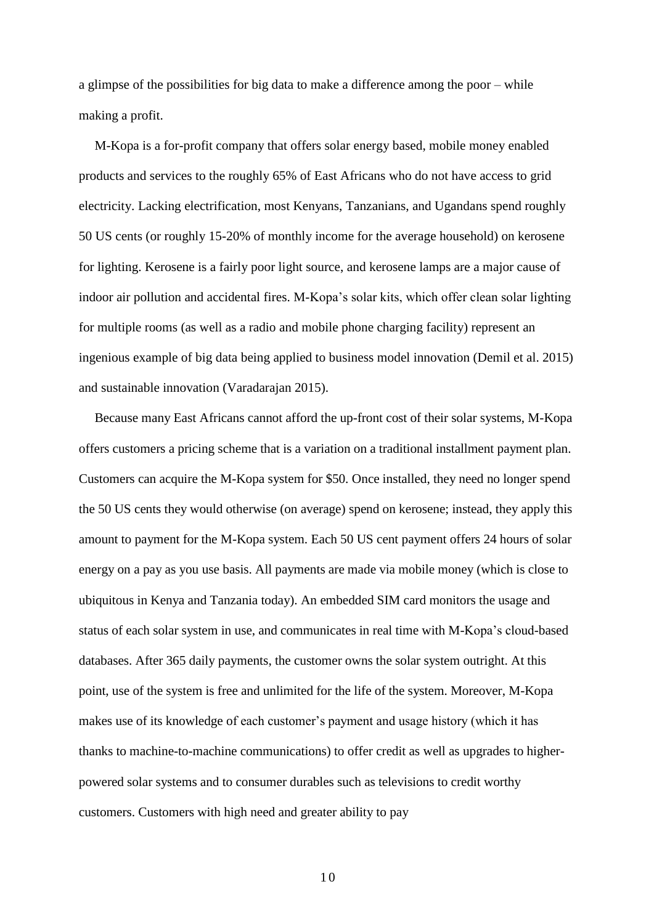a glimpse of the possibilities for big data to make a difference among the poor – while making a profit.

M-Kopa is a for-profit company that offers solar energy based, mobile money enabled products and services to the roughly 65% of East Africans who do not have access to grid electricity. Lacking electrification, most Kenyans, Tanzanians, and Ugandans spend roughly 50 US cents (or roughly 15-20% of monthly income for the average household) on kerosene for lighting. Kerosene is a fairly poor light source, and kerosene lamps are a major cause of indoor air pollution and accidental fires. M-Kopa's solar kits, which offer clean solar lighting for multiple rooms (as well as a radio and mobile phone charging facility) represent an ingenious example of big data being applied to business model innovation (Demil et al. 2015) and sustainable innovation (Varadarajan 2015).

Because many East Africans cannot afford the up-front cost of their solar systems, M-Kopa offers customers a pricing scheme that is a variation on a traditional installment payment plan. Customers can acquire the M-Kopa system for \$50. Once installed, they need no longer spend the 50 US cents they would otherwise (on average) spend on kerosene; instead, they apply this amount to payment for the M-Kopa system. Each 50 US cent payment offers 24 hours of solar energy on a pay as you use basis. All payments are made via mobile money (which is close to ubiquitous in Kenya and Tanzania today). An embedded SIM card monitors the usage and status of each solar system in use, and communicates in real time with M-Kopa's cloud-based databases. After 365 daily payments, the customer owns the solar system outright. At this point, use of the system is free and unlimited for the life of the system. Moreover, M-Kopa makes use of its knowledge of each customer's payment and usage history (which it has thanks to machine-to-machine communications) to offer credit as well as upgrades to higherpowered solar systems and to consumer durables such as televisions to credit worthy customers. Customers with high need and greater ability to pay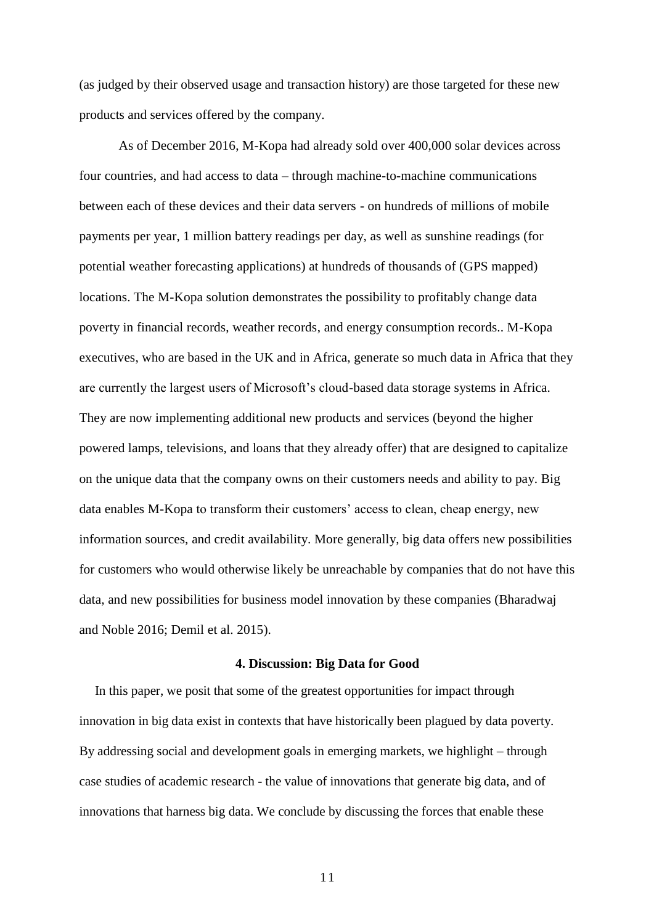(as judged by their observed usage and transaction history) are those targeted for these new products and services offered by the company.

As of December 2016, M-Kopa had already sold over 400,000 solar devices across four countries, and had access to data – through machine-to-machine communications between each of these devices and their data servers - on hundreds of millions of mobile payments per year, 1 million battery readings per day, as well as sunshine readings (for potential weather forecasting applications) at hundreds of thousands of (GPS mapped) locations. The M-Kopa solution demonstrates the possibility to profitably change data poverty in financial records, weather records, and energy consumption records.. M-Kopa executives, who are based in the UK and in Africa, generate so much data in Africa that they are currently the largest users of Microsoft's cloud-based data storage systems in Africa. They are now implementing additional new products and services (beyond the higher powered lamps, televisions, and loans that they already offer) that are designed to capitalize on the unique data that the company owns on their customers needs and ability to pay. Big data enables M-Kopa to transform their customers' access to clean, cheap energy, new information sources, and credit availability. More generally, big data offers new possibilities for customers who would otherwise likely be unreachable by companies that do not have this data, and new possibilities for business model innovation by these companies (Bharadwaj and Noble 2016; Demil et al. 2015).

### **4. Discussion: Big Data for Good**

In this paper, we posit that some of the greatest opportunities for impact through innovation in big data exist in contexts that have historically been plagued by data poverty. By addressing social and development goals in emerging markets, we highlight – through case studies of academic research - the value of innovations that generate big data, and of innovations that harness big data. We conclude by discussing the forces that enable these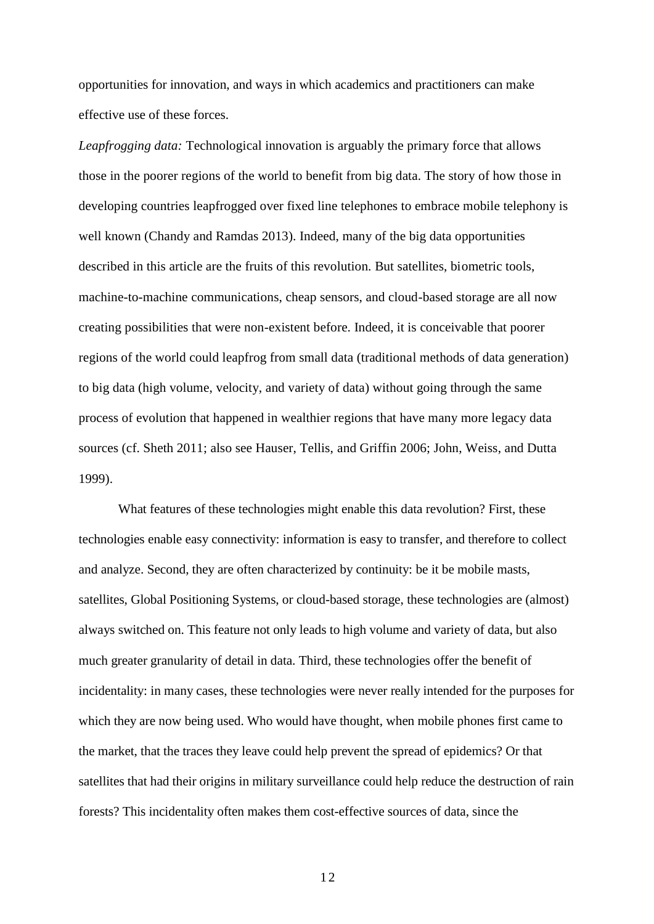opportunities for innovation, and ways in which academics and practitioners can make effective use of these forces.

*Leapfrogging data:* Technological innovation is arguably the primary force that allows those in the poorer regions of the world to benefit from big data. The story of how those in developing countries leapfrogged over fixed line telephones to embrace mobile telephony is well known (Chandy and Ramdas 2013). Indeed, many of the big data opportunities described in this article are the fruits of this revolution. But satellites, biometric tools, machine-to-machine communications, cheap sensors, and cloud-based storage are all now creating possibilities that were non-existent before. Indeed, it is conceivable that poorer regions of the world could leapfrog from small data (traditional methods of data generation) to big data (high volume, velocity, and variety of data) without going through the same process of evolution that happened in wealthier regions that have many more legacy data sources (cf. Sheth 2011; also see Hauser, Tellis, and Griffin 2006; John, Weiss, and Dutta 1999).

What features of these technologies might enable this data revolution? First, these technologies enable easy connectivity: information is easy to transfer, and therefore to collect and analyze. Second, they are often characterized by continuity: be it be mobile masts, satellites, Global Positioning Systems, or cloud-based storage, these technologies are (almost) always switched on. This feature not only leads to high volume and variety of data, but also much greater granularity of detail in data. Third, these technologies offer the benefit of incidentality: in many cases, these technologies were never really intended for the purposes for which they are now being used. Who would have thought, when mobile phones first came to the market, that the traces they leave could help prevent the spread of epidemics? Or that satellites that had their origins in military surveillance could help reduce the destruction of rain forests? This incidentality often makes them cost-effective sources of data, since the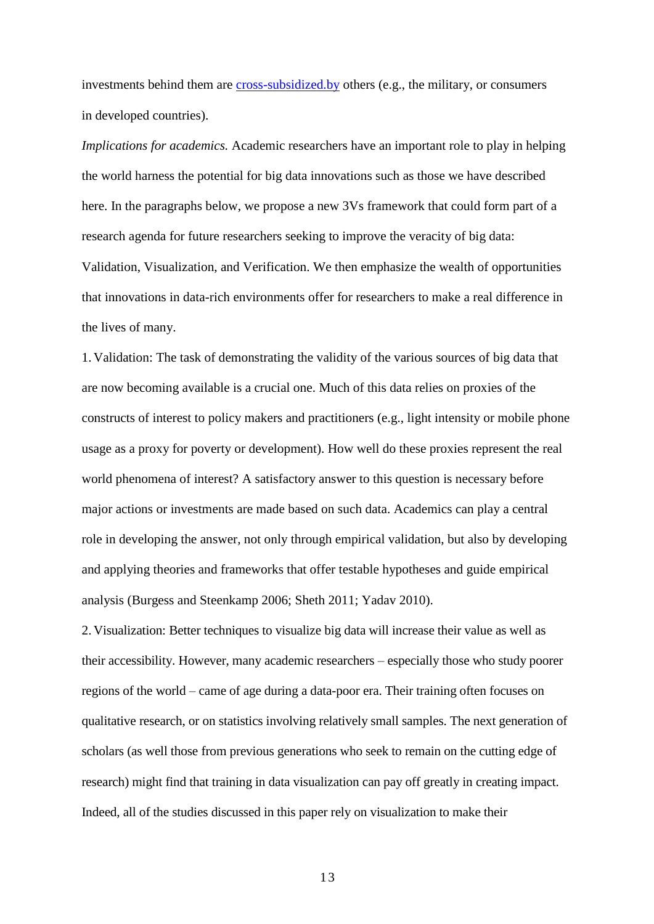investments behind them are [cross-subsidized.by](http://cross-subsidized.by/) others (e.g., the military, or consumers in developed countries).

*Implications for academics.* Academic researchers have an important role to play in helping the world harness the potential for big data innovations such as those we have described here. In the paragraphs below, we propose a new 3Vs framework that could form part of a research agenda for future researchers seeking to improve the veracity of big data: Validation, Visualization, and Verification. We then emphasize the wealth of opportunities that innovations in data-rich environments offer for researchers to make a real difference in the lives of many.

1. Validation: The task of demonstrating the validity of the various sources of big data that are now becoming available is a crucial one. Much of this data relies on proxies of the constructs of interest to policy makers and practitioners (e.g., light intensity or mobile phone usage as a proxy for poverty or development). How well do these proxies represent the real world phenomena of interest? A satisfactory answer to this question is necessary before major actions or investments are made based on such data. Academics can play a central role in developing the answer, not only through empirical validation, but also by developing and applying theories and frameworks that offer testable hypotheses and guide empirical analysis (Burgess and Steenkamp 2006; Sheth 2011; Yadav 2010).

2. Visualization: Better techniques to visualize big data will increase their value as well as their accessibility. However, many academic researchers – especially those who study poorer regions of the world – came of age during a data-poor era. Their training often focuses on qualitative research, or on statistics involving relatively small samples. The next generation of scholars (as well those from previous generations who seek to remain on the cutting edge of research) might find that training in data visualization can pay off greatly in creating impact. Indeed, all of the studies discussed in this paper rely on visualization to make their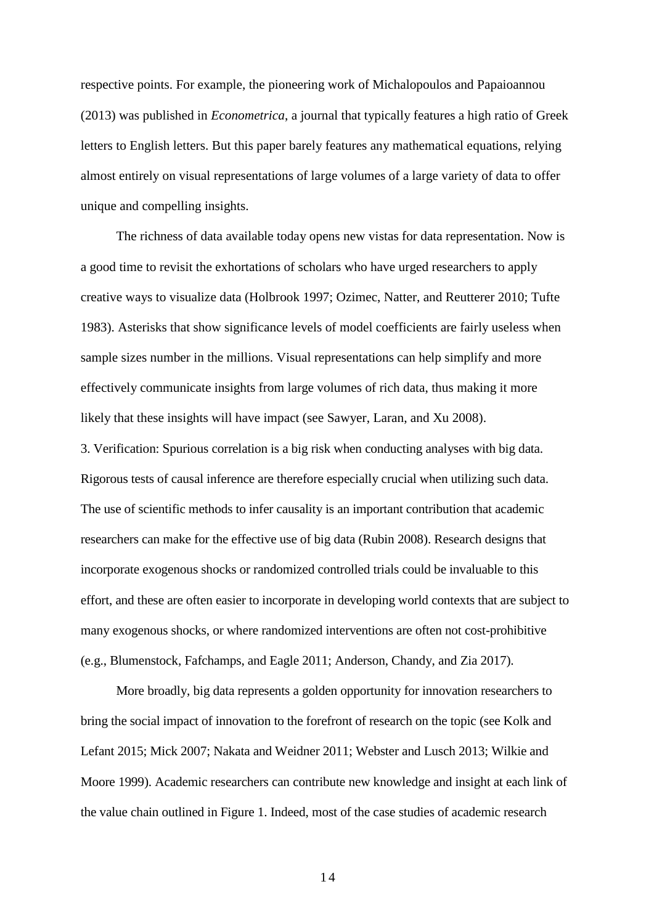respective points. For example, the pioneering work of Michalopoulos and Papaioannou (2013) was published in *Econometrica*, a journal that typically features a high ratio of Greek letters to English letters. But this paper barely features any mathematical equations, relying almost entirely on visual representations of large volumes of a large variety of data to offer unique and compelling insights.

The richness of data available today opens new vistas for data representation. Now is a good time to revisit the exhortations of scholars who have urged researchers to apply creative ways to visualize data (Holbrook 1997; Ozimec, Natter, and Reutterer 2010; Tufte 1983). Asterisks that show significance levels of model coefficients are fairly useless when sample sizes number in the millions. Visual representations can help simplify and more effectively communicate insights from large volumes of rich data, thus making it more likely that these insights will have impact (see Sawyer, Laran, and Xu 2008).

3. Verification: Spurious correlation is a big risk when conducting analyses with big data. Rigorous tests of causal inference are therefore especially crucial when utilizing such data. The use of scientific methods to infer causality is an important contribution that academic researchers can make for the effective use of big data (Rubin 2008). Research designs that incorporate exogenous shocks or randomized controlled trials could be invaluable to this effort, and these are often easier to incorporate in developing world contexts that are subject to many exogenous shocks, or where randomized interventions are often not cost-prohibitive (e.g., Blumenstock, Fafchamps, and Eagle 2011; Anderson, Chandy, and Zia 2017).

More broadly, big data represents a golden opportunity for innovation researchers to bring the social impact of innovation to the forefront of research on the topic (see Kolk and Lefant 2015; Mick 2007; Nakata and Weidner 2011; Webster and Lusch 2013; Wilkie and Moore 1999). Academic researchers can contribute new knowledge and insight at each link of the value chain outlined in Figure 1. Indeed, most of the case studies of academic research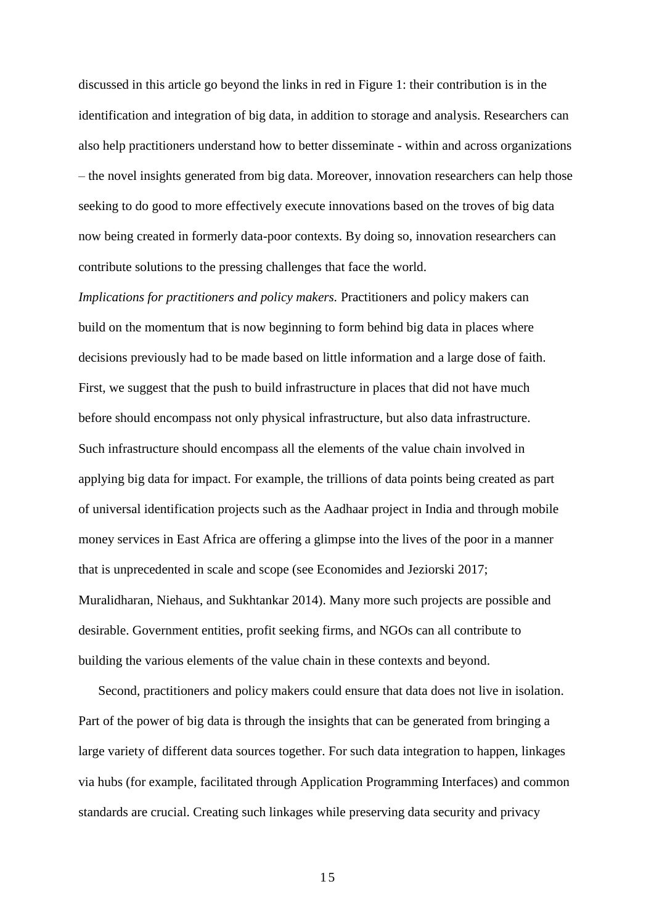discussed in this article go beyond the links in red in Figure 1: their contribution is in the identification and integration of big data, in addition to storage and analysis. Researchers can also help practitioners understand how to better disseminate - within and across organizations – the novel insights generated from big data. Moreover, innovation researchers can help those seeking to do good to more effectively execute innovations based on the troves of big data now being created in formerly data-poor contexts. By doing so, innovation researchers can contribute solutions to the pressing challenges that face the world.

*Implications for practitioners and policy makers.* Practitioners and policy makers can build on the momentum that is now beginning to form behind big data in places where decisions previously had to be made based on little information and a large dose of faith. First, we suggest that the push to build infrastructure in places that did not have much before should encompass not only physical infrastructure, but also data infrastructure. Such infrastructure should encompass all the elements of the value chain involved in applying big data for impact. For example, the trillions of data points being created as part of universal identification projects such as the Aadhaar project in India and through mobile money services in East Africa are offering a glimpse into the lives of the poor in a manner that is unprecedented in scale and scope (see Economides and Jeziorski 2017; Muralidharan, Niehaus, and Sukhtankar 2014). Many more such projects are possible and desirable. Government entities, profit seeking firms, and NGOs can all contribute to building the various elements of the value chain in these contexts and beyond.

Second, practitioners and policy makers could ensure that data does not live in isolation. Part of the power of big data is through the insights that can be generated from bringing a large variety of different data sources together. For such data integration to happen, linkages via hubs (for example, facilitated through Application Programming Interfaces) and common standards are crucial. Creating such linkages while preserving data security and privacy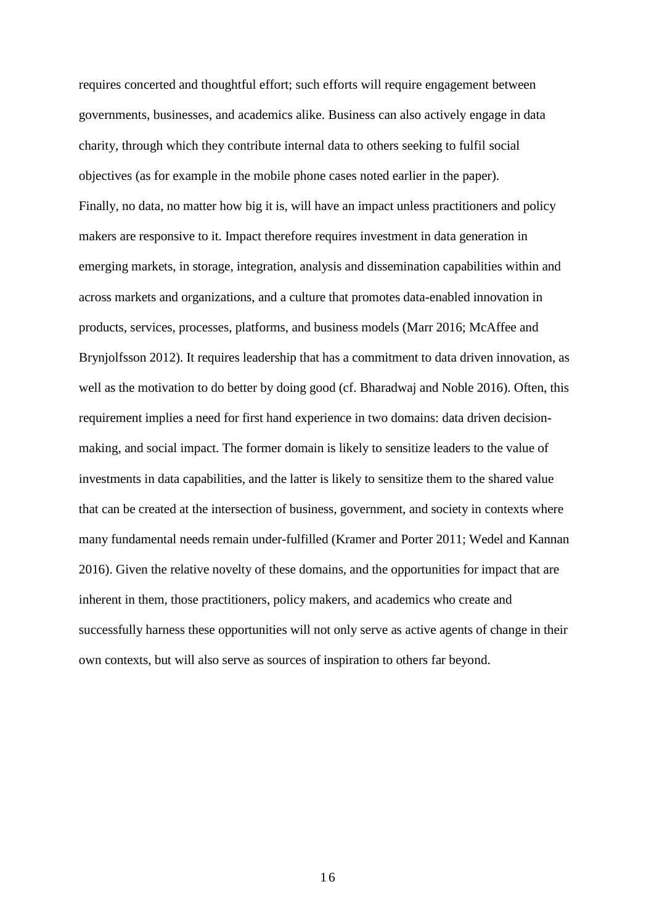requires concerted and thoughtful effort; such efforts will require engagement between governments, businesses, and academics alike. Business can also actively engage in data charity, through which they contribute internal data to others seeking to fulfil social objectives (as for example in the mobile phone cases noted earlier in the paper). Finally, no data, no matter how big it is, will have an impact unless practitioners and policy makers are responsive to it. Impact therefore requires investment in data generation in emerging markets, in storage, integration, analysis and dissemination capabilities within and across markets and organizations, and a culture that promotes data-enabled innovation in products, services, processes, platforms, and business models (Marr 2016; McAffee and Brynjolfsson 2012). It requires leadership that has a commitment to data driven innovation, as well as the motivation to do better by doing good (cf. Bharadwaj and Noble 2016). Often, this requirement implies a need for first hand experience in two domains: data driven decisionmaking, and social impact. The former domain is likely to sensitize leaders to the value of investments in data capabilities, and the latter is likely to sensitize them to the shared value that can be created at the intersection of business, government, and society in contexts where many fundamental needs remain under-fulfilled (Kramer and Porter 2011; Wedel and Kannan 2016). Given the relative novelty of these domains, and the opportunities for impact that are inherent in them, those practitioners, policy makers, and academics who create and successfully harness these opportunities will not only serve as active agents of change in their own contexts, but will also serve as sources of inspiration to others far beyond.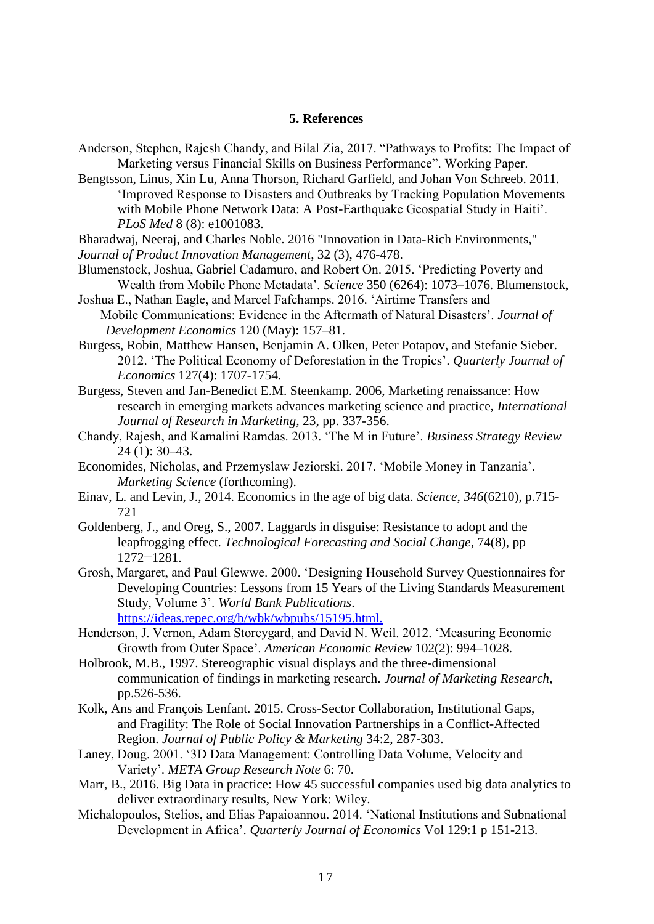## **5. References**

- Anderson, Stephen, Rajesh Chandy, and Bilal Zia, 2017. "Pathways to Profits: The Impact of Marketing versus Financial Skills on Business Performance". Working Paper.
- Bengtsson, Linus, Xin Lu, Anna Thorson, Richard Garfield, and Johan Von Schreeb. 2011. 'Improved Response to Disasters and Outbreaks by Tracking Population Movements with Mobile Phone Network Data: A Post-Earthquake Geospatial Study in Haiti'. *PLoS Med* 8 (8): e1001083.
- Bharadwaj, Neeraj, and Charles Noble. 2016 "Innovation in Data-Rich Environments," *Journal of Product Innovation Management*, 32 (3), 476-478.
- Blumenstock, Joshua, Gabriel Cadamuro, and Robert On. 2015. 'Predicting Poverty and Wealth from Mobile Phone Metadata'. *Science* 350 (6264): 1073–1076. Blumenstock,
- Joshua E., Nathan Eagle, and Marcel Fafchamps. 2016. 'Airtime Transfers and Mobile Communications: Evidence in the Aftermath of Natural Disasters'. *Journal of Development Economics* 120 (May): 157–81.
- Burgess, Robin, Matthew Hansen, Benjamin A. Olken, Peter Potapov, and Stefanie Sieber. 2012. 'The Political Economy of Deforestation in the Tropics'. *Quarterly Journal of Economics* 127(4): 1707-1754.
- Burgess, Steven and Jan-Benedict E.M. Steenkamp. 2006, Marketing renaissance: How research in emerging markets advances marketing science and practice, *International Journal of Research in Marketing,* 23, pp. 337-356.
- Chandy, Rajesh, and Kamalini Ramdas. 2013. 'The M in Future'. *Business Strategy Review*  24 (1): 30–43.
- Economides, Nicholas, and Przemyslaw Jeziorski. 2017. 'Mobile Money in Tanzania'. *Marketing Science* (forthcoming).
- Einav, L. and Levin, J., 2014. Economics in the age of big data. *Science*, *346*(6210), p.715- 721
- Goldenberg, J., and Oreg, S., 2007. Laggards in disguise: Resistance to adopt and the leapfrogging effect. *Technological Forecasting and Social Change*, 74(8), pp 1272−1281.
- Grosh, Margaret, and Paul Glewwe. 2000. 'Designing Household Survey Questionnaires for Developing Countries: Lessons from 15 Years of the Living Standards Measurement Study, Volume 3'. *World Bank Publications*. <https://ideas.repec.org/b/wbk/wbpubs/15195.html.>
- Henderson, J. Vernon, Adam Storeygard, and David N. Weil. 2012. 'Measuring Economic Growth from Outer Space'. *American Economic Review* 102(2): 994–1028.
- Holbrook, M.B., 1997. Stereographic visual displays and the three-dimensional communication of findings in marketing research. *Journal of Marketing Research*, pp.526-536.
- Kolk, Ans and François Lenfant. 2015. Cross-Sector Collaboration, Institutional Gaps, and Fragility: The Role of Social Innovation Partnerships in a Conflict-Affected Region. *Journal of Public Policy & Marketing* 34:2, 287-303.
- Laney, Doug. 2001. '3D Data Management: Controlling Data Volume, Velocity and Variety'. *META Group Research Note* 6: 70.
- Marr, B., 2016. Big Data in practice: How 45 successful companies used big data analytics to deliver extraordinary results, New York: Wiley.
- Michalopoulos, Stelios, and Elias Papaioannou. 2014. 'National Institutions and Subnational Development in Africa'. *Quarterly Journal of Economics* Vol 129:1 p 151-213.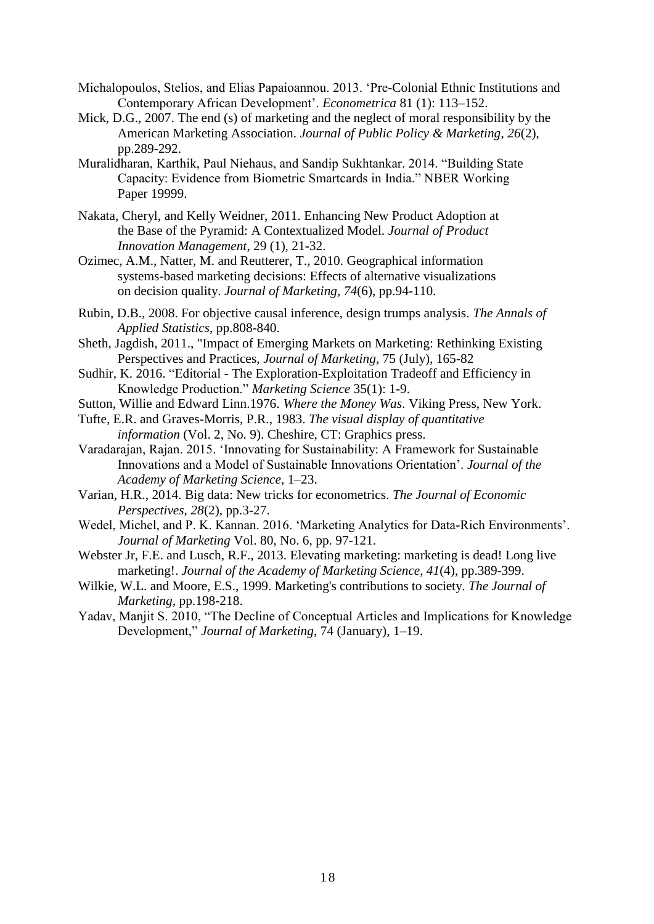- Michalopoulos, Stelios, and Elias Papaioannou. 2013. 'Pre-Colonial Ethnic Institutions and Contemporary African Development'. *Econometrica* 81 (1): 113–152.
- Mick, D.G., 2007. The end (s) of marketing and the neglect of moral responsibility by the American Marketing Association. *Journal of Public Policy & Marketing*, *26*(2), pp.289-292.
- Muralidharan, Karthik, Paul Niehaus, and Sandip Sukhtankar. 2014. "Building State Capacity: Evidence from Biometric Smartcards in India." NBER Working Paper 19999.
- Nakata, Cheryl, and Kelly Weidner, 2011. Enhancing New Product Adoption at the Base of the Pyramid: A Contextualized Model. *Journal of Product Innovation Management*, 29 (1), 21-32.
- Ozimec, A.M., Natter, M. and Reutterer, T., 2010. Geographical information systems-based marketing decisions: Effects of alternative visualizations on decision quality. *Journal of Marketing*, *74*(6), pp.94-110.
- Rubin, D.B., 2008. For objective causal inference, design trumps analysis. *The Annals of Applied Statistics*, pp.808-840.
- Sheth, Jagdish, 2011., "Impact of Emerging Markets on Marketing: Rethinking Existing Perspectives and Practices, *Journal of Marketing*, 75 (July), 165-82
- Sudhir, K. 2016. "Editorial The Exploration-Exploitation Tradeoff and Efficiency in Knowledge Production." *Marketing Science* 35(1): 1-9.
- Sutton, Willie and Edward Linn.1976. *Where the Money Was*. Viking Press, New York.
- Tufte, E.R. and Graves-Morris, P.R., 1983. *The visual display of quantitative information* (Vol. 2, No. 9). Cheshire, CT: Graphics press.
- Varadarajan, Rajan. 2015. 'Innovating for Sustainability: A Framework for Sustainable Innovations and a Model of Sustainable Innovations Orientation'. *Journal of the Academy of Marketing Science*, 1–23.
- Varian, H.R., 2014. Big data: New tricks for econometrics. *The Journal of Economic Perspectives*, *28*(2), pp.3-27.
- Wedel, Michel, and P. K. Kannan. 2016. 'Marketing Analytics for Data-Rich Environments'. *Journal of Marketing* Vol. 80, No. 6, pp. 97-121.
- Webster Jr, F.E. and Lusch, R.F., 2013. Elevating marketing: marketing is dead! Long live marketing!. *Journal of the Academy of Marketing Science*, *41*(4), pp.389-399.
- Wilkie, W.L. and Moore, E.S., 1999. Marketing's contributions to society. *The Journal of Marketing*, pp.198-218.
- Yadav, Manjit S. 2010, "The Decline of Conceptual Articles and Implications for Knowledge Development," *Journal of Marketing*, 74 (January), 1–19.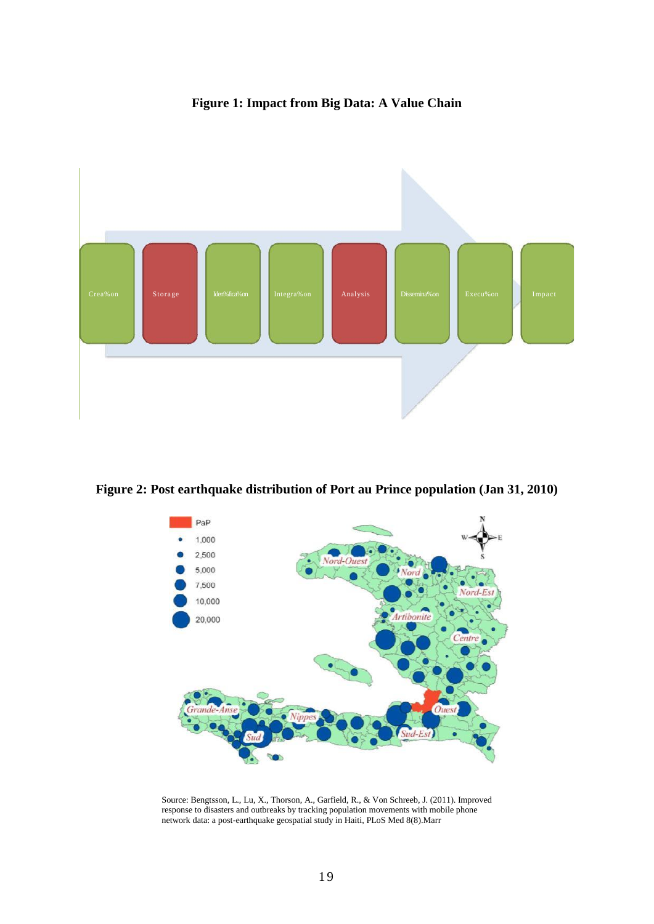# **Figure 1: Impact from Big Data: A Value Chain**



**Figure 2: Post earthquake distribution of Port au Prince population (Jan 31, 2010)**



Source: Bengtsson, L., Lu, X., Thorson, A., Garfield, R., & Von Schreeb, J. (2011). Improved response to disasters and outbreaks by tracking population movements with mobile phone network data: a post-earthquake geospatial study in Haiti, PLoS Med 8(8).Marr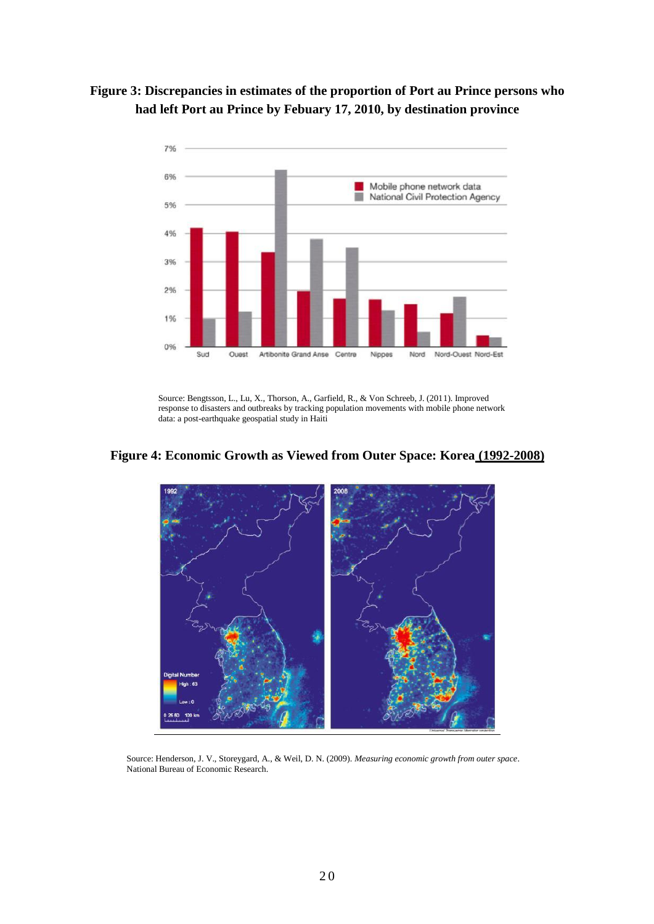



Source: Bengtsson, L., Lu, X., Thorson, A., Garfield, R., & Von Schreeb, J. (2011). Improved response to disasters and outbreaks by tracking population movements with mobile phone network data: a post-earthquake geospatial study in Haiti





Source: Henderson, J. V., Storeygard, A., & Weil, D. N. (2009). *Measuring economic growth from outer space*. National Bureau of Economic Research.